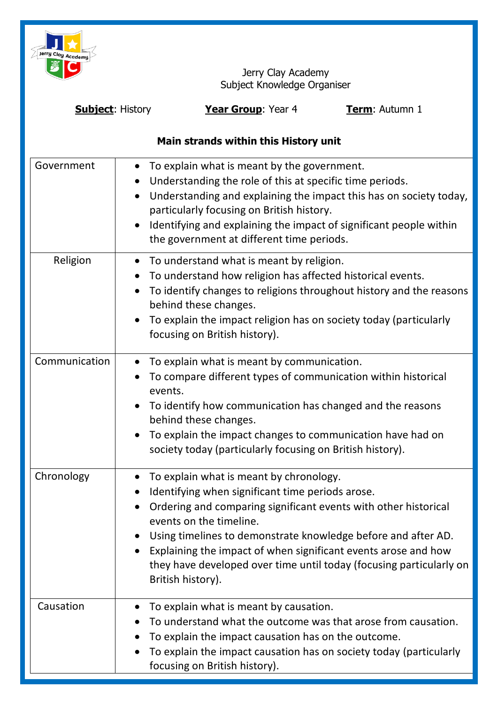

Jerry Clay Academy Subject Knowledge Organiser

| <b>Subject: History</b>               |                        | Year Group: Year 4                                                                                                                                                                                                                                                                                                                                                                                                       | Term: Autumn 1 |  |
|---------------------------------------|------------------------|--------------------------------------------------------------------------------------------------------------------------------------------------------------------------------------------------------------------------------------------------------------------------------------------------------------------------------------------------------------------------------------------------------------------------|----------------|--|
| Main strands within this History unit |                        |                                                                                                                                                                                                                                                                                                                                                                                                                          |                |  |
| Government                            | $\bullet$<br>$\bullet$ | To explain what is meant by the government.<br>Understanding the role of this at specific time periods.<br>Understanding and explaining the impact this has on society today,<br>particularly focusing on British history.<br>Identifying and explaining the impact of significant people within<br>the government at different time periods.                                                                            |                |  |
| Religion                              | $\bullet$              | To understand what is meant by religion.<br>To understand how religion has affected historical events.<br>To identify changes to religions throughout history and the reasons<br>behind these changes.<br>To explain the impact religion has on society today (particularly<br>focusing on British history).                                                                                                             |                |  |
| Communication                         | $\bullet$<br>$\bullet$ | To explain what is meant by communication.<br>To compare different types of communication within historical<br>events.<br>To identify how communication has changed and the reasons<br>behind these changes.<br>To explain the impact changes to communication have had on<br>society today (particularly focusing on British history).                                                                                  |                |  |
| Chronology                            | $\bullet$<br>$\bullet$ | To explain what is meant by chronology.<br>Identifying when significant time periods arose.<br>Ordering and comparing significant events with other historical<br>events on the timeline.<br>Using timelines to demonstrate knowledge before and after AD.<br>Explaining the impact of when significant events arose and how<br>they have developed over time until today (focusing particularly on<br>British history). |                |  |
| Causation                             |                        | To explain what is meant by causation.<br>To understand what the outcome was that arose from causation.<br>To explain the impact causation has on the outcome.<br>To explain the impact causation has on society today (particularly<br>focusing on British history).                                                                                                                                                    |                |  |